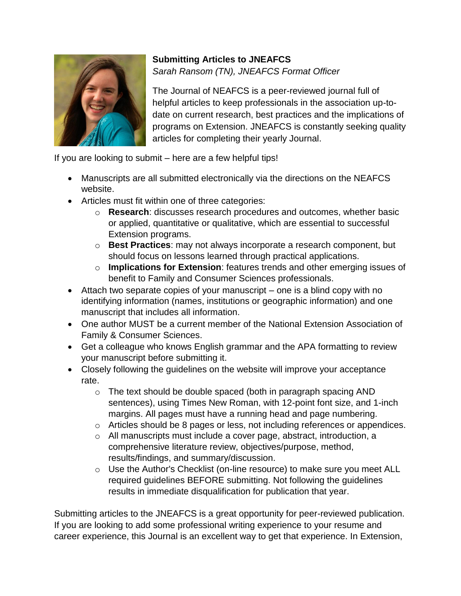

## **Submitting Articles to JNEAFCS** *Sarah Ransom (TN), JNEAFCS Format Officer*

The Journal of NEAFCS is a peer-reviewed journal full of helpful articles to keep professionals in the association up-todate on current research, best practices and the implications of programs on Extension. JNEAFCS is constantly seeking quality articles for completing their yearly Journal.

If you are looking to submit – here are a few helpful tips!

- Manuscripts are all submitted electronically via the directions on the NEAFCS website.
- Articles must fit within one of three categories:
	- o **Research**: discusses research procedures and outcomes, whether basic or applied, quantitative or qualitative, which are essential to successful Extension programs.
	- o **Best Practices**: may not always incorporate a research component, but should focus on lessons learned through practical applications.
	- o **Implications for Extension**: features trends and other emerging issues of benefit to Family and Consumer Sciences professionals.
- Attach two separate copies of your manuscript one is a blind copy with no identifying information (names, institutions or geographic information) and one manuscript that includes all information.
- One author MUST be a current member of the National Extension Association of Family & Consumer Sciences.
- Get a colleague who knows English grammar and the APA formatting to review your manuscript before submitting it.
- Closely following the guidelines on the website will improve your acceptance rate.
	- o The text should be double spaced (both in paragraph spacing AND sentences), using Times New Roman, with 12-point font size, and 1-inch margins. All pages must have a running head and page numbering.
	- o Articles should be 8 pages or less, not including references or appendices.
	- o All manuscripts must include a cover page, abstract, introduction, a comprehensive literature review, objectives/purpose, method, results/findings, and summary/discussion.
	- o Use the Author's Checklist (on-line resource) to make sure you meet ALL required guidelines BEFORE submitting. Not following the guidelines results in immediate disqualification for publication that year.

Submitting articles to the JNEAFCS is a great opportunity for peer-reviewed publication. If you are looking to add some professional writing experience to your resume and career experience, this Journal is an excellent way to get that experience. In Extension,